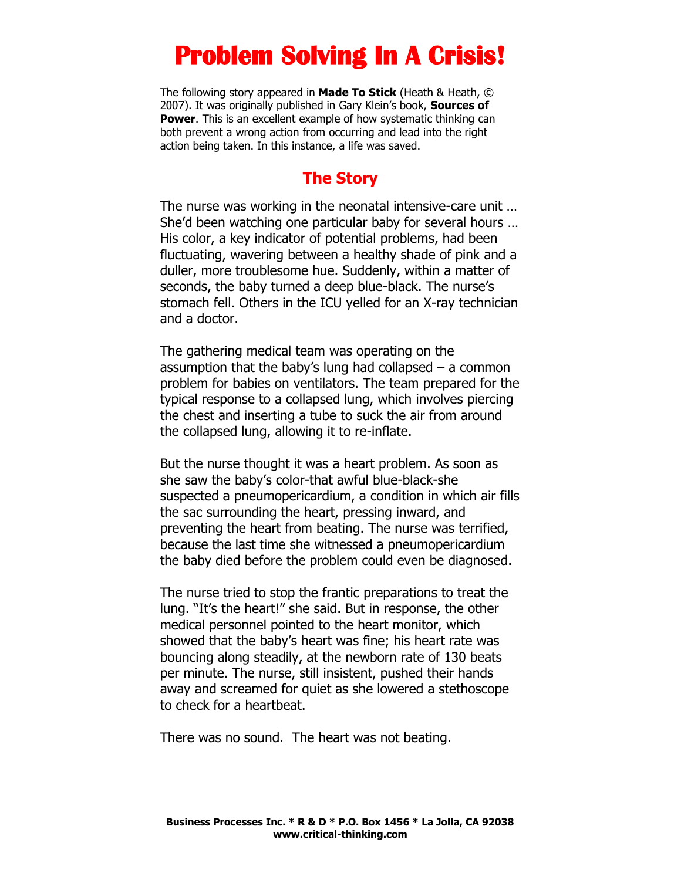# **Problem Solving In A Crisis!**

The following story appeared in **Made To Stick** (Heath & Heath, © 2007). It was originally published in Gary Klein's book, **Sources of Power**. This is an excellent example of how systematic thinking can both prevent a wrong action from occurring and lead into the right action being taken. In this instance, a life was saved.

#### **The Story**

The nurse was working in the neonatal intensive-care unit … She'd been watching one particular baby for several hours … His color, a key indicator of potential problems, had been fluctuating, wavering between a healthy shade of pink and a duller, more troublesome hue. Suddenly, within a matter of seconds, the baby turned a deep blue-black. The nurse's stomach fell. Others in the ICU yelled for an X-ray technician and a doctor.

The gathering medical team was operating on the assumption that the baby's lung had collapsed – a common problem for babies on ventilators. The team prepared for the typical response to a collapsed lung, which involves piercing the chest and inserting a tube to suck the air from around the collapsed lung, allowing it to re-inflate.

But the nurse thought it was a heart problem. As soon as she saw the baby's color-that awful blue-black-she suspected a pneumopericardium, a condition in which air fills the sac surrounding the heart, pressing inward, and preventing the heart from beating. The nurse was terrified, because the last time she witnessed a pneumopericardium the baby died before the problem could even be diagnosed.

The nurse tried to stop the frantic preparations to treat the lung. "It's the heart!" she said. But in response, the other medical personnel pointed to the heart monitor, which showed that the baby's heart was fine; his heart rate was bouncing along steadily, at the newborn rate of 130 beats per minute. The nurse, still insistent, pushed their hands away and screamed for quiet as she lowered a stethoscope to check for a heartbeat.

There was no sound. The heart was not beating.